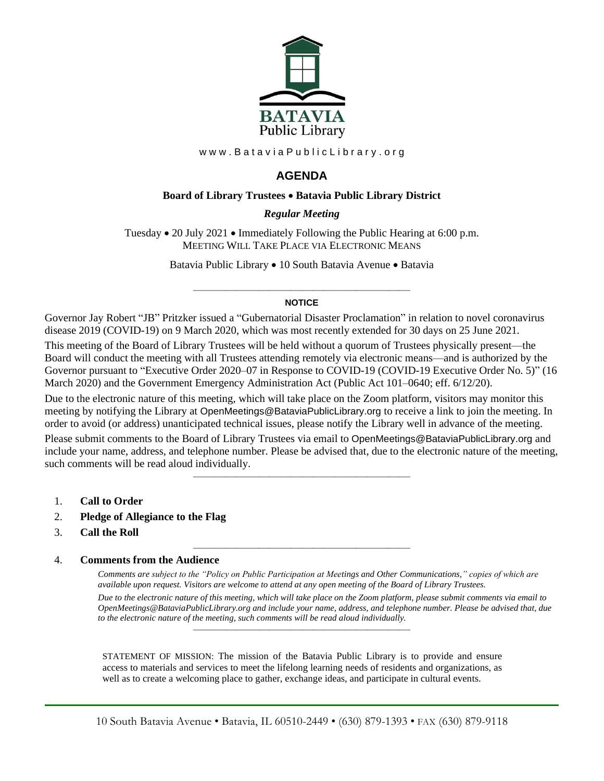

www.BataviaPublicLibrary.org

# **AGENDA**

### **Board of Library Trustees** • **Batavia Public Library District**

### *0BRegular Meeting*

Tuesday • 20 July 2021 • Immediately Following the Public Hearing at 6:00 p.m. MEETING WILL TAKE PLACE VIA ELECTRONIC MEANS

Batavia Public Library • 10 South Batavia Avenue • Batavia

### ———————————————————— **NOTICE**

Governor Jay Robert "JB" Pritzker issued a "Gubernatorial Disaster Proclamation" in relation to novel coronavirus disease 2019 (COVID-19) on 9 March 2020, which was most recently extended for 30 days on 25 June 2021.

This meeting of the Board of Library Trustees will be held without a quorum of Trustees physically present—the Board will conduct the meeting with all Trustees attending remotely via electronic means—and is authorized by the Governor pursuant to "Executive Order 2020–07 in Response to COVID-19 (COVID-19 Executive Order No. 5)" (16 March 2020) and the Government Emergency Administration Act (Public Act 101–0640; eff. 6/12/20).

Due to the electronic nature of this meeting, which will take place on the Zoom platform, visitors may monitor this meeting by notifying the Library at OpenMeetings@BataviaPublicLibrary.org to receive a link to join the meeting. In order to avoid (or address) unanticipated technical issues, please notify the Library well in advance of the meeting. Please submit comments to the Board of Library Trustees via email to OpenMeetings@BataviaPublicLibrary.org and include your name, address, and telephone number. Please be advised that, due to the electronic nature of the meeting, such comments will be read aloud individually.

————————————————————

————————————————————

- 1. **Call to Order**
- 2. **Pledge of Allegiance to the Flag**
- 3. **Call the Roll**

#### 4. **Comments from the Audience**

*Comments are subject to the "Policy on Public Participation at Meetings and Other Communications," copies of which are available upon request. Visitors are welcome to attend at any open meeting of the Board of Library Trustees.*

*Due to the electronic nature of this meeting, which will take place on the Zoom platform, please submit comments via email to OpenMeetings@BataviaPublicLibrary.org and include your name, address, and telephone number. Please be advised that, due to the electronic nature of the meeting, such comments will be read aloud individually.*

STATEMENT OF MISSION: The mission of the Batavia Public Library is to provide and ensure access to materials and services to meet the lifelong learning needs of residents and organizations, as well as to create a welcoming place to gather, exchange ideas, and participate in cultural events.

————————————————————